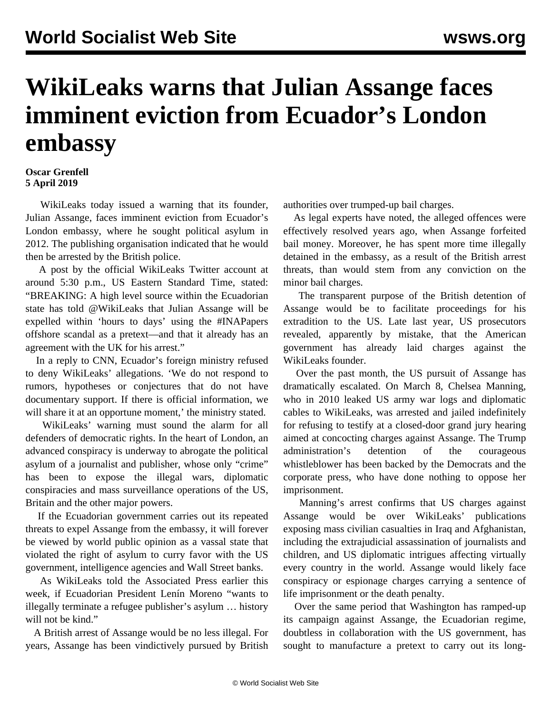## **WikiLeaks warns that Julian Assange faces imminent eviction from Ecuador's London embassy**

## **Oscar Grenfell 5 April 2019**

 WikiLeaks today issued a warning that its founder, Julian Assange, faces imminent eviction from Ecuador's London embassy, where he sought political asylum in 2012. The publishing organisation indicated that he would then be arrested by the British police.

 A post by the official WikiLeaks Twitter account at around 5:30 p.m., US Eastern Standard Time, stated: "BREAKING: A high level source within the Ecuadorian state has told @WikiLeaks that Julian Assange will be expelled within 'hours to days' using the #INAPapers offshore scandal as a pretext—and that it already has an agreement with the UK for his arrest."

 In a reply to CNN, Ecuador's foreign ministry refused to deny WikiLeaks' allegations. 'We do not respond to rumors, hypotheses or conjectures that do not have documentary support. If there is official information, we will share it at an opportune moment,' the ministry stated.

 WikiLeaks' warning must sound the alarm for all defenders of democratic rights. In the heart of London, an advanced conspiracy is underway to abrogate the political asylum of a journalist and publisher, whose only "crime" has been to expose the illegal wars, diplomatic conspiracies and mass surveillance operations of the US, Britain and the other major powers.

 If the Ecuadorian government carries out its repeated threats to expel Assange from the embassy, it will forever be viewed by world public opinion as a vassal state that violated the right of asylum to curry favor with the US government, intelligence agencies and Wall Street banks.

 As WikiLeaks told the Associated Press earlier this week, if Ecuadorian President Lenín Moreno "wants to illegally terminate a refugee publisher's asylum … history will not be kind."

 A British arrest of Assange would be no less illegal. For years, Assange has been vindictively pursued by British authorities over trumped-up bail charges.

 As legal experts have noted, the alleged offences were effectively resolved years ago, when Assange forfeited bail money. Moreover, he has spent more time illegally detained in the embassy, as a result of the British arrest threats, than would stem from any conviction on the minor bail charges.

 The transparent purpose of the British detention of Assange would be to facilitate proceedings for his extradition to the US. Late last year, US prosecutors revealed, apparently by mistake, that the American government has already laid charges against the WikiLeaks founder.

 Over the past month, the US pursuit of Assange has dramatically escalated. On March 8, Chelsea Manning, who in 2010 leaked US army war logs and diplomatic cables to WikiLeaks, was arrested and jailed indefinitely for refusing to testify at a closed-door grand jury hearing aimed at concocting charges against Assange. The Trump administration's detention of the courageous whistleblower has been backed by the Democrats and the corporate press, who have done nothing to oppose her imprisonment.

 Manning's arrest confirms that US charges against Assange would be over WikiLeaks' publications exposing mass civilian casualties in Iraq and Afghanistan, including the extrajudicial assassination of journalists and children, and US diplomatic intrigues affecting virtually every country in the world. Assange would likely face conspiracy or espionage charges carrying a sentence of life imprisonment or the death penalty.

 Over the same period that Washington has ramped-up its campaign against Assange, the Ecuadorian regime, doubtless in collaboration with the US government, has sought to manufacture a pretext to carry out its long